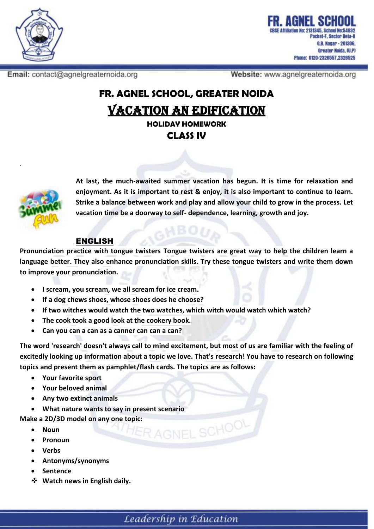

Pocket-F. Sector Beta-II G.B. Nagar - 201306, Greater Noida, (U.P) Phone: 0120-2326557.2326525

Email: contact@agnelgreaternoida.org

Website: www.agnelgreaternoida.org

# **FR. AGNEL SCHOOL, GREATER NOIDA** VACATION AN EDIFICATION **HOLIDAY HOMEWORK**

**CLASS IV**



**At last, the much-awaited summer vacation has begun. It is time for relaxation and enjoyment. As it is important to rest & enjoy, it is also important to continue to learn. Strike a balance between work and play and allow your child to grow in the process. Let vacation time be a doorway to self- dependence, learning, growth and joy.**

#### ENGLISH

**Pronunciation practice with tongue twisters Tongue twisters are great way to help the children learn a language better. They also enhance pronunciation skills. Try these tongue twisters and write them down to improve your pronunciation.** 

- **I scream, you scream, we all scream for ice cream.**
- **If a dog chews shoes, whose shoes does he choose?**
- **If two witches would watch the two watches, which witch would watch which watch?**
- **The cook took a good look at the cookery book.**
- **Can you can a can as a canner can can a can?**

**The word 'research' doesn't always call to mind excitement, but most of us are familiar with the feeling of excitedly looking up information about a topic we love. That's [research!](https://study.com/academy/lesson/what-does-a-scientist-do-lesson-for-kids.html) You have to research on following topics and present them as pamphlet/flash cards. The topics are as follows:**

RAGNEL SCHOOL

- **Your favorite sport**
- **Your beloved animal**
- **Any two extinct animals**
- **What nature wants to say in present scenario**

**Make a 2D/3D model on any one topic:**

- **Noun**
- **Pronoun**
- **Verbs**
- **Antonyms/synonyms**
- **Sentence**
- **Watch news in English daily.**

Leadership in Education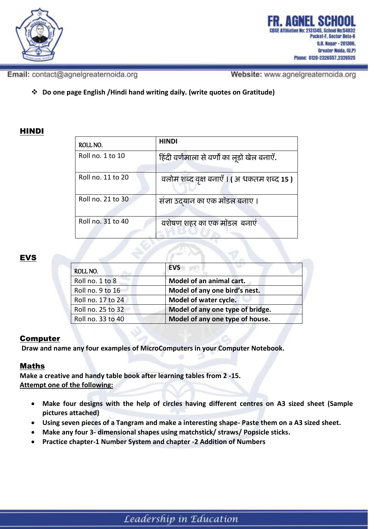

ocket-F, Sector Beta-II G.B. Nagar - 201306, Greater Noida, (U.P) Phone: 0120-2326557.2326525

Email: contact@agnelgreaternoida.org

Website: www.agnelgreaternoida.org

**Do one page English /Hindi hand writing daily. (write quotes on Gratitude)**

## HINDI

| ROLL NO.          | <b>HINDI</b>                                |
|-------------------|---------------------------------------------|
| Roll no. 1 to 10  | हिंदी वर्णमाला से वर्णों का लूडो खेल बनाएँ. |
| Roll no. 11 to 20 | वलोम शब्द वृक्ष बनाएँ । (अ धकतम शब्द 15 )   |
| Roll no. 21 to 30 | संज्ञा उदयान का एक मॉडल बनाए ।              |
| Roll no. 31 to 40 | वशेषण शहर का एक मॉडल बनाएं                  |

### **EVS**

| ROLL NO.          | <b>EVS</b>                       |
|-------------------|----------------------------------|
| Roll no. 1 to 8   | Model of an animal cart.         |
| Roll no. 9 to 16  | Model of any one bird's nest.    |
| Roll no. 17 to 24 | Model of water cycle.            |
| Roll no. 25 to 32 | Model of any one type of bridge. |
| Roll no. 33 to 40 | Model of any one type of house.  |

### Computer

**Draw and name any four examples of MicroComputers in your Computer Notebook.**

### Maths

**Make a creative and handy table book after learning tables from 2 -15. Attempt one of the following:**

- **Make four designs with the help of circles having different centres on A3 sized sheet (Sample pictures attached)**
- **Using seven pieces of a Tangram and make a interesting shape- Paste them on a A3 sized sheet.**
- **Make any four 3- dimensional shapes using matchstick/ straws/ Popsicle sticks.**
- **Practice chapter-1 Number System and chapter -2 Addition of Numbers**